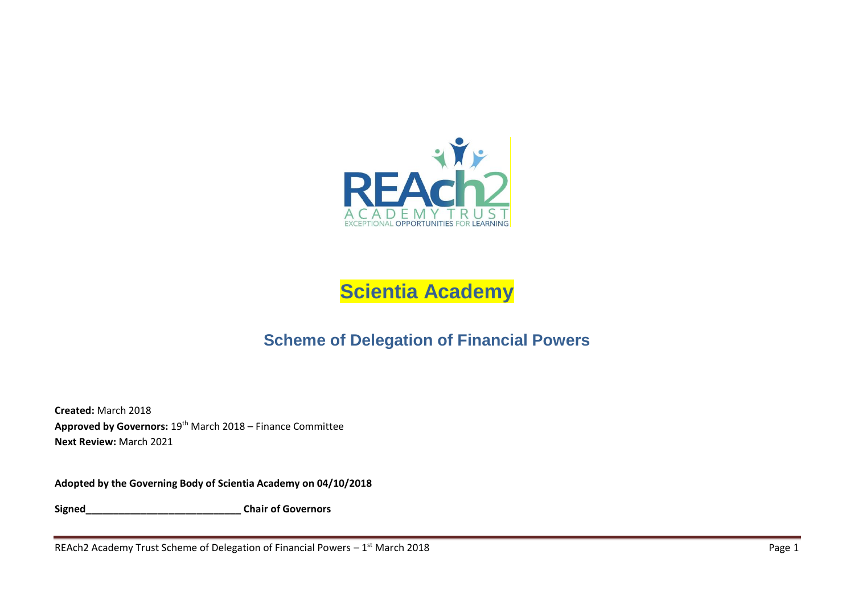

# **Scientia Academy**

# **Scheme of Delegation of Financial Powers**

**Created:** March 2018 **Approved by Governors:** 19th March 2018 – Finance Committee **Next Review:** March 2021

**Adopted by the Governing Body of Scientia Academy on 04/10/2018** 

**Signed\_\_\_\_\_\_\_\_\_\_\_\_\_\_\_\_\_\_\_\_\_\_\_\_\_\_\_\_ Chair of Governors**

REAch2 Academy Trust Scheme of Delegation of Financial Powers  $-1^{st}$  March 2018  $\blacksquare$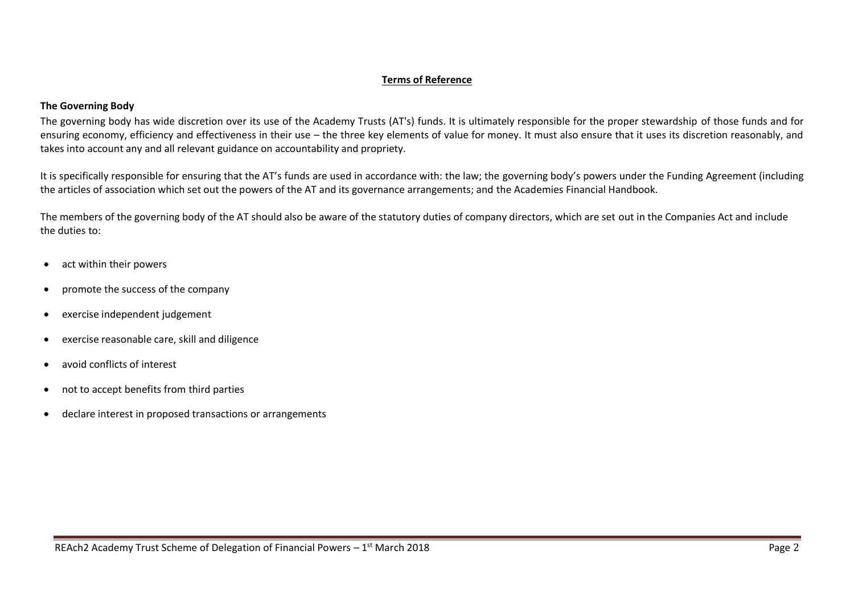#### **Terms of Reference**

#### **The Governing Body**

The governing body has wide discretion over its use of the Academy Trusts (AT's) funds. It is ultimately responsible for the proper stewardship of those funds and for ensuring economy, efficiency and effectiveness in their use – the three key elements of value for money. It must also ensure that it uses its discretion reasonably, and takes into account any and all relevant guidance on accountability and propriety.

It is specifically responsible for ensuring that the AT's funds are used in accordance with: the law; the governing body's powers under the Funding Agreement (including the articles of association which set out the powers of the AT and its governance arrangements; and the Academies Financial Handbook.

The members of the governing body of the AT should also be aware of the statutory duties of company directors, which are set out in the Companies Act and include the duties to:

- act within their powers
- promote the success of the company
- exercise independent judgement
- exercise reasonable care, skill and diligence
- avoid conflicts of interest
- not to accept benefits from third parties
- declare interest in proposed transactions or arrangements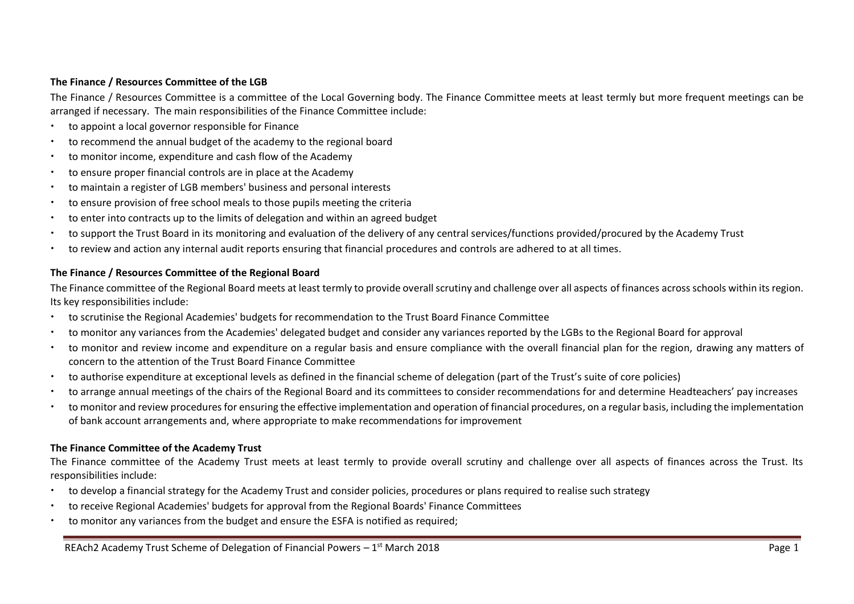#### **The Finance / Resources Committee of the LGB**

The Finance / Resources Committee is a committee of the Local Governing body. The Finance Committee meets at least termly but more frequent meetings can be arranged if necessary. The main responsibilities of the Finance Committee include:

- to appoint a local governor responsible for Finance
- to recommend the annual budget of the academy to the regional board
- to monitor income, expenditure and cash flow of the Academy
- to ensure proper financial controls are in place at the Academy
- to maintain a register of LGB members' business and personal interests
- to ensure provision of free school meals to those pupils meeting the criteria
- to enter into contracts up to the limits of delegation and within an agreed budget
- to support the Trust Board in its monitoring and evaluation of the delivery of any central services/functions provided/procured by the Academy Trust
- to review and action any internal audit reports ensuring that financial procedures and controls are adhered to at all times.

#### **The Finance / Resources Committee of the Regional Board**

The Finance committee of the Regional Board meets at least termly to provide overall scrutiny and challenge over all aspects of finances across schools within its region. Its key responsibilities include:

- to scrutinise the Regional Academies' budgets for recommendation to the Trust Board Finance Committee
- to monitor any variances from the Academies' delegated budget and consider any variances reported by the LGBs to the Regional Board for approval
- to monitor and review income and expenditure on a regular basis and ensure compliance with the overall financial plan for the region, drawing any matters of concern to the attention of the Trust Board Finance Committee
- to authorise expenditure at exceptional levels as defined in the financial scheme of delegation (part of the Trust's suite of core policies)
- to arrange annual meetings of the chairs of the Regional Board and its committees to consider recommendations for and determine Headteachers' pay increases
- to monitor and review procedures for ensuring the effective implementation and operation of financial procedures, on a regular basis, including the implementation of bank account arrangements and, where appropriate to make recommendations for improvement

#### **The Finance Committee of the Academy Trust**

The Finance committee of the Academy Trust meets at least termly to provide overall scrutiny and challenge over all aspects of finances across the Trust. Its responsibilities include:

- to develop a financial strategy for the Academy Trust and consider policies, procedures or plans required to realise such strategy
- to receive Regional Academies' budgets for approval from the Regional Boards' Finance Committees
- to monitor any variances from the budget and ensure the ESFA is notified as required;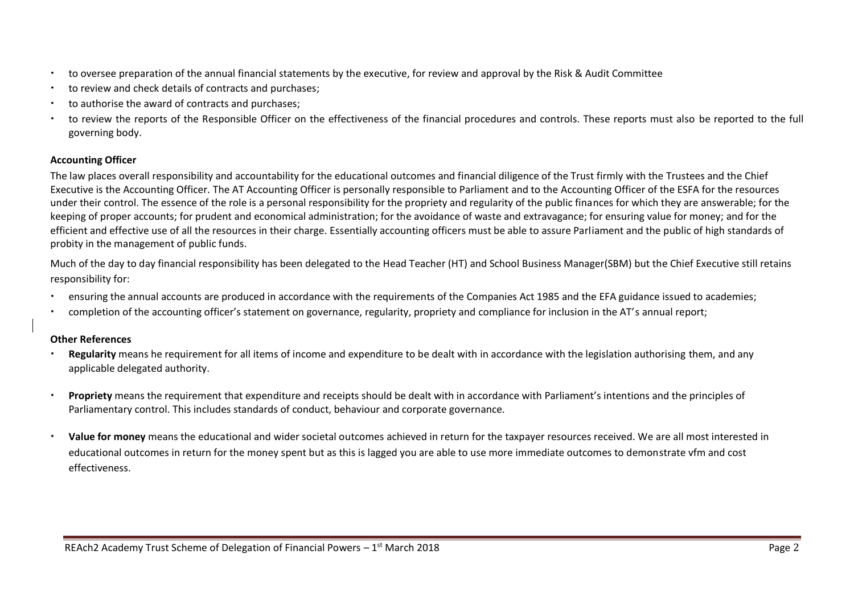- to oversee preparation of the annual financial statements by the executive, for review and approval by the Risk & Audit Committee
- to review and check details of contracts and purchases;
- to authorise the award of contracts and purchases;
- to review the reports of the Responsible Officer on the effectiveness of the financial procedures and controls. These reports must also be reported to the full governing body.

#### **Accounting Officer**

The law places overall responsibility and accountability for the educational outcomes and financial diligence of the Trust firmly with the Trustees and the Chief Executive is the Accounting Officer. The AT Accounting Officer is personally responsible to Parliament and to the Accounting Officer of the ESFA for the resources under their control. The essence of the role is a personal responsibility for the propriety and regularity of the public finances for which they are answerable; for the keeping of proper accounts; for prudent and economical administration; for the avoidance of waste and extravagance; for ensuring value for money; and for the efficient and effective use of all the resources in their charge. Essentially accounting officers must be able to assure Parliament and the public of high standards of probity in the management of public funds.

Much of the day to day financial responsibility has been delegated to the Head Teacher (HT) and School Business Manager(SBM) but the Chief Executive still retains responsibility for:

- ensuring the annual accounts are produced in accordance with the requirements of the Companies Act 1985 and the EFA guidance issued to academies;
- completion of the accounting officer's statement on governance, regularity, propriety and compliance for inclusion in the AT's annual report;

#### **Other References**

- **Regularity** means he requirement for all items of income and expenditure to be dealt with in accordance with the legislation authorising them, and any applicable delegated authority.
- **Propriety** means the requirement that expenditure and receipts should be dealt with in accordance with Parliament's intentions and the principles of Parliamentary control. This includes standards of conduct, behaviour and corporate governance.
- **Value for money** means the educational and wider societal outcomes achieved in return for the taxpayer resources received. We are all most interested in educational outcomes in return for the money spent but as this is lagged you are able to use more immediate outcomes to demonstrate vfm and cost effectiveness.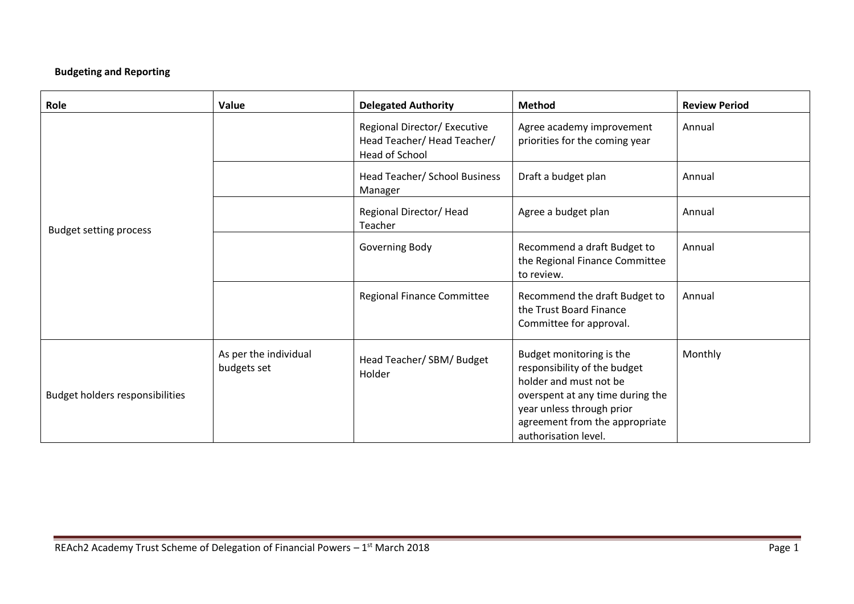# **Budgeting and Reporting**

| Role                            | Value                                | <b>Delegated Authority</b>                                                   | <b>Method</b>                                                                                                                                                                                                 | <b>Review Period</b> |
|---------------------------------|--------------------------------------|------------------------------------------------------------------------------|---------------------------------------------------------------------------------------------------------------------------------------------------------------------------------------------------------------|----------------------|
|                                 |                                      | Regional Director/ Executive<br>Head Teacher/Head Teacher/<br>Head of School | Agree academy improvement<br>priorities for the coming year                                                                                                                                                   | Annual               |
|                                 |                                      | Head Teacher/ School Business<br>Manager                                     | Draft a budget plan                                                                                                                                                                                           | Annual               |
| <b>Budget setting process</b>   |                                      | Regional Director/Head<br>Teacher                                            | Agree a budget plan                                                                                                                                                                                           | Annual               |
|                                 |                                      | Governing Body                                                               | Recommend a draft Budget to<br>the Regional Finance Committee<br>to review.                                                                                                                                   | Annual               |
|                                 |                                      | <b>Regional Finance Committee</b>                                            | Recommend the draft Budget to<br>the Trust Board Finance<br>Committee for approval.                                                                                                                           | Annual               |
| Budget holders responsibilities | As per the individual<br>budgets set | Head Teacher/ SBM/ Budget<br>Holder                                          | Budget monitoring is the<br>responsibility of the budget<br>holder and must not be<br>overspent at any time during the<br>year unless through prior<br>agreement from the appropriate<br>authorisation level. | Monthly              |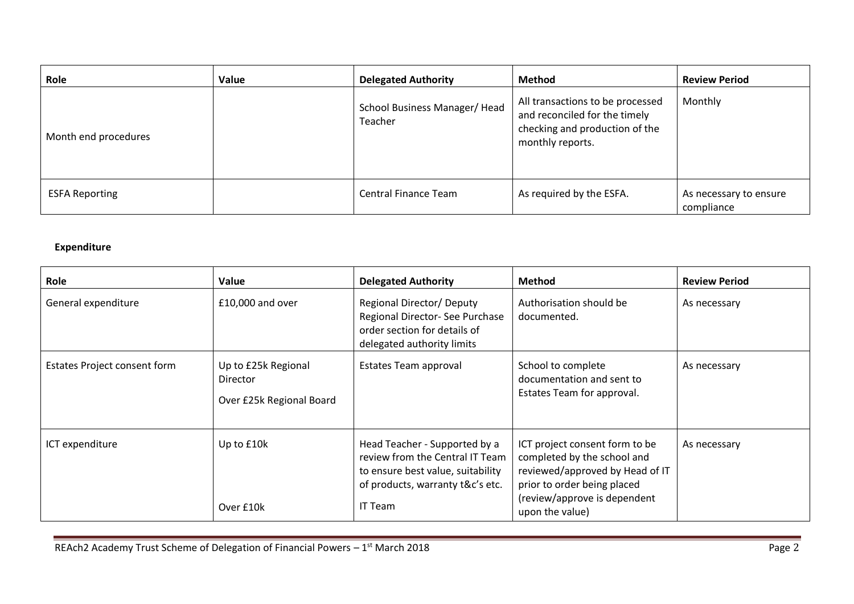| Role                  | Value | <b>Delegated Authority</b>               | Method                                                                                                                  | <b>Review Period</b>                 |
|-----------------------|-------|------------------------------------------|-------------------------------------------------------------------------------------------------------------------------|--------------------------------------|
| Month end procedures  |       | School Business Manager/ Head<br>Teacher | All transactions to be processed<br>and reconciled for the timely<br>checking and production of the<br>monthly reports. | Monthly                              |
| <b>ESFA Reporting</b> |       | <b>Central Finance Team</b>              | As required by the ESFA.                                                                                                | As necessary to ensure<br>compliance |

# **Expenditure**

| Role                         | Value                                                       | <b>Delegated Authority</b>                                                                                                                           | <b>Method</b>                                                                                                                                                                      | <b>Review Period</b> |
|------------------------------|-------------------------------------------------------------|------------------------------------------------------------------------------------------------------------------------------------------------------|------------------------------------------------------------------------------------------------------------------------------------------------------------------------------------|----------------------|
| General expenditure          | £10,000 and over                                            | <b>Regional Director/ Deputy</b><br>Regional Director- See Purchase<br>order section for details of<br>delegated authority limits                    | Authorisation should be<br>documented.                                                                                                                                             | As necessary         |
| Estates Project consent form | Up to £25k Regional<br>Director<br>Over £25k Regional Board | Estates Team approval                                                                                                                                | School to complete<br>documentation and sent to<br>Estates Team for approval.                                                                                                      | As necessary         |
| ICT expenditure              | Up to £10k<br>Over £10k                                     | Head Teacher - Supported by a<br>review from the Central IT Team<br>to ensure best value, suitability<br>of products, warranty t&c's etc.<br>IT Team | ICT project consent form to be<br>completed by the school and<br>reviewed/approved by Head of IT<br>prior to order being placed<br>(review/approve is dependent<br>upon the value) | As necessary         |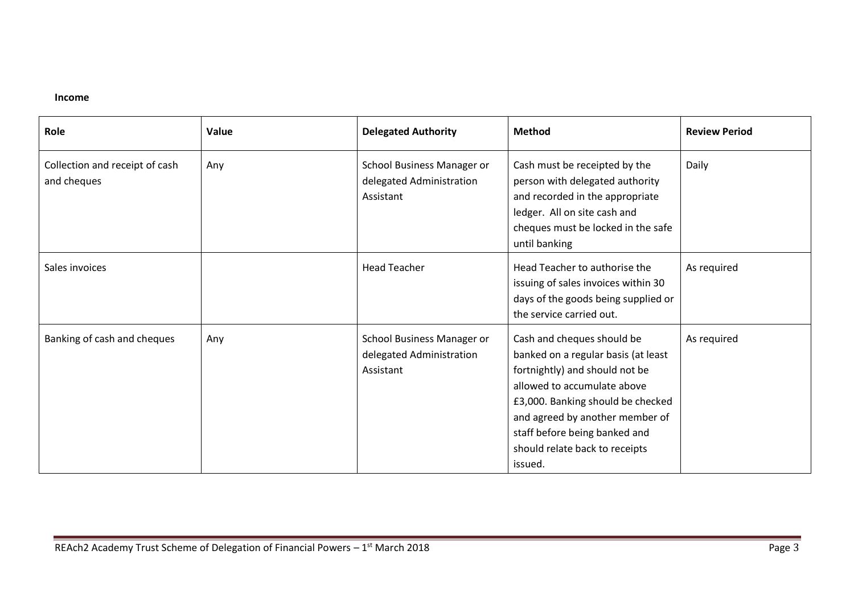#### **Income**

| Role                                          | Value | <b>Delegated Authority</b>                                          | <b>Method</b>                                                                                                                                                                                                                                                                            | <b>Review Period</b> |
|-----------------------------------------------|-------|---------------------------------------------------------------------|------------------------------------------------------------------------------------------------------------------------------------------------------------------------------------------------------------------------------------------------------------------------------------------|----------------------|
| Collection and receipt of cash<br>and cheques | Any   | School Business Manager or<br>delegated Administration<br>Assistant | Cash must be receipted by the<br>person with delegated authority<br>and recorded in the appropriate<br>ledger. All on site cash and<br>cheques must be locked in the safe<br>until banking                                                                                               | Daily                |
| Sales invoices                                |       | <b>Head Teacher</b>                                                 | Head Teacher to authorise the<br>issuing of sales invoices within 30<br>days of the goods being supplied or<br>the service carried out.                                                                                                                                                  | As required          |
| Banking of cash and cheques                   | Any   | School Business Manager or<br>delegated Administration<br>Assistant | Cash and cheques should be<br>banked on a regular basis (at least<br>fortnightly) and should not be<br>allowed to accumulate above<br>£3,000. Banking should be checked<br>and agreed by another member of<br>staff before being banked and<br>should relate back to receipts<br>issued. | As required          |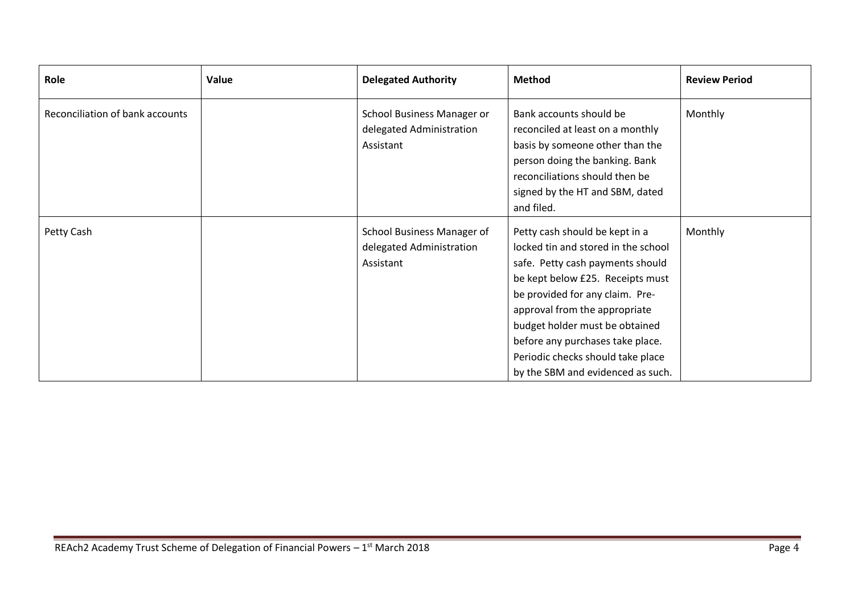| Role                            | Value | <b>Delegated Authority</b>                                          | <b>Method</b>                                                                                                                                                                                                                                                                                                                                                     | <b>Review Period</b> |
|---------------------------------|-------|---------------------------------------------------------------------|-------------------------------------------------------------------------------------------------------------------------------------------------------------------------------------------------------------------------------------------------------------------------------------------------------------------------------------------------------------------|----------------------|
| Reconciliation of bank accounts |       | School Business Manager or<br>delegated Administration<br>Assistant | Bank accounts should be<br>reconciled at least on a monthly<br>basis by someone other than the<br>person doing the banking. Bank<br>reconciliations should then be<br>signed by the HT and SBM, dated<br>and filed.                                                                                                                                               | Monthly              |
| Petty Cash                      |       | School Business Manager of<br>delegated Administration<br>Assistant | Petty cash should be kept in a<br>locked tin and stored in the school<br>safe. Petty cash payments should<br>be kept below £25. Receipts must<br>be provided for any claim. Pre-<br>approval from the appropriate<br>budget holder must be obtained<br>before any purchases take place.<br>Periodic checks should take place<br>by the SBM and evidenced as such. | Monthly              |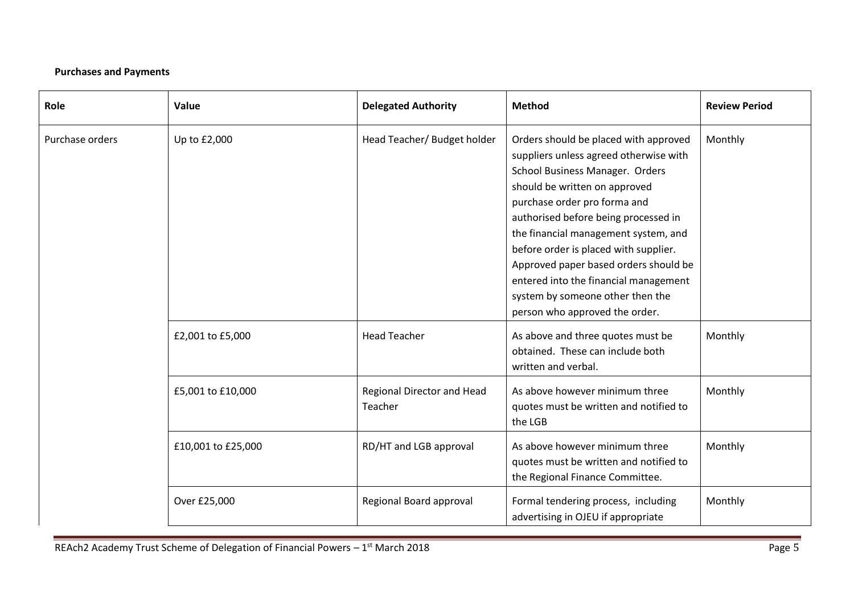# **Purchases and Payments**

| Role            | Value              | <b>Delegated Authority</b>            | <b>Method</b>                                                                                                                                                                                                                                                                                                                                                                                                                                                        | <b>Review Period</b> |
|-----------------|--------------------|---------------------------------------|----------------------------------------------------------------------------------------------------------------------------------------------------------------------------------------------------------------------------------------------------------------------------------------------------------------------------------------------------------------------------------------------------------------------------------------------------------------------|----------------------|
| Purchase orders | Up to £2,000       | Head Teacher/ Budget holder           | Orders should be placed with approved<br>suppliers unless agreed otherwise with<br>School Business Manager. Orders<br>should be written on approved<br>purchase order pro forma and<br>authorised before being processed in<br>the financial management system, and<br>before order is placed with supplier.<br>Approved paper based orders should be<br>entered into the financial management<br>system by someone other then the<br>person who approved the order. | Monthly              |
|                 | £2,001 to £5,000   | <b>Head Teacher</b>                   | As above and three quotes must be<br>obtained. These can include both<br>written and verbal.                                                                                                                                                                                                                                                                                                                                                                         | Monthly              |
|                 | £5,001 to £10,000  | Regional Director and Head<br>Teacher | As above however minimum three<br>quotes must be written and notified to<br>the LGB                                                                                                                                                                                                                                                                                                                                                                                  | Monthly              |
|                 | £10,001 to £25,000 | RD/HT and LGB approval                | As above however minimum three<br>quotes must be written and notified to<br>the Regional Finance Committee.                                                                                                                                                                                                                                                                                                                                                          | Monthly              |
|                 | Over £25,000       | Regional Board approval               | Formal tendering process, including<br>advertising in OJEU if appropriate                                                                                                                                                                                                                                                                                                                                                                                            | Monthly              |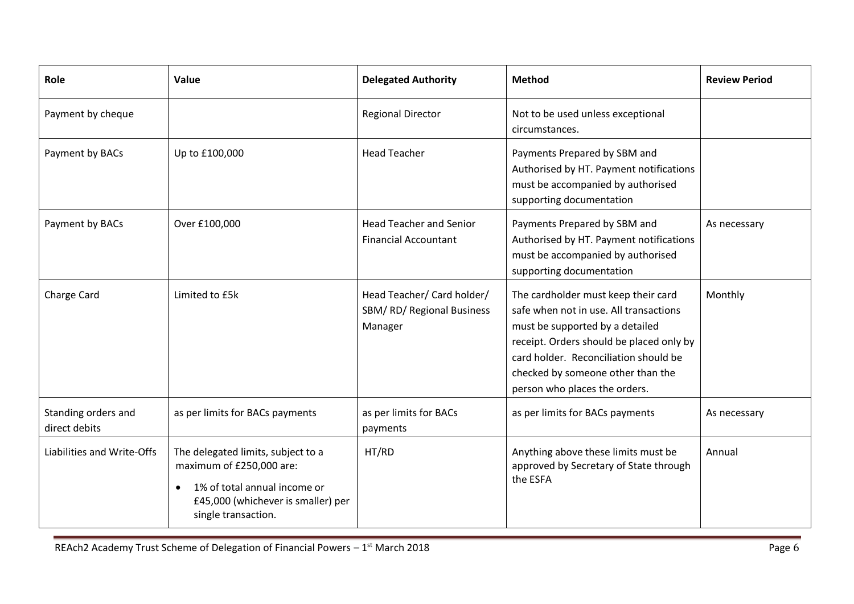| Role                                 | Value                                                                                                                                                                    | <b>Delegated Authority</b>                                        | <b>Method</b>                                                                                                                                                                                                                                                               | <b>Review Period</b> |
|--------------------------------------|--------------------------------------------------------------------------------------------------------------------------------------------------------------------------|-------------------------------------------------------------------|-----------------------------------------------------------------------------------------------------------------------------------------------------------------------------------------------------------------------------------------------------------------------------|----------------------|
| Payment by cheque                    |                                                                                                                                                                          | <b>Regional Director</b>                                          | Not to be used unless exceptional<br>circumstances.                                                                                                                                                                                                                         |                      |
| Payment by BACs                      | Up to £100,000                                                                                                                                                           | <b>Head Teacher</b>                                               | Payments Prepared by SBM and<br>Authorised by HT. Payment notifications<br>must be accompanied by authorised<br>supporting documentation                                                                                                                                    |                      |
| Payment by BACs                      | Over £100,000                                                                                                                                                            | <b>Head Teacher and Senior</b><br><b>Financial Accountant</b>     | Payments Prepared by SBM and<br>Authorised by HT. Payment notifications<br>must be accompanied by authorised<br>supporting documentation                                                                                                                                    | As necessary         |
| Charge Card                          | Limited to £5k                                                                                                                                                           | Head Teacher/ Card holder/<br>SBM/RD/Regional Business<br>Manager | The cardholder must keep their card<br>safe when not in use. All transactions<br>must be supported by a detailed<br>receipt. Orders should be placed only by<br>card holder. Reconciliation should be<br>checked by someone other than the<br>person who places the orders. | Monthly              |
| Standing orders and<br>direct debits | as per limits for BACs payments                                                                                                                                          | as per limits for BACs<br>payments                                | as per limits for BACs payments                                                                                                                                                                                                                                             | As necessary         |
| Liabilities and Write-Offs           | The delegated limits, subject to a<br>maximum of £250,000 are:<br>1% of total annual income or<br>$\bullet$<br>£45,000 (whichever is smaller) per<br>single transaction. | HT/RD                                                             | Anything above these limits must be<br>approved by Secretary of State through<br>the ESFA                                                                                                                                                                                   | Annual               |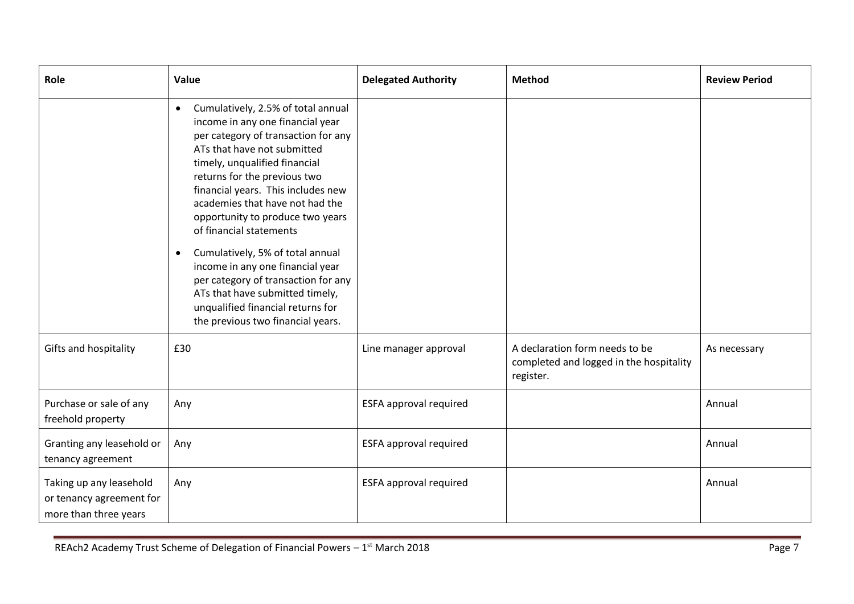| Role                                                                         | Value                                                                                                                                                                                                                                                                                                                                                                                                                                                                                                                                                                                                       | <b>Delegated Authority</b>    | <b>Method</b>                                                                          | <b>Review Period</b> |
|------------------------------------------------------------------------------|-------------------------------------------------------------------------------------------------------------------------------------------------------------------------------------------------------------------------------------------------------------------------------------------------------------------------------------------------------------------------------------------------------------------------------------------------------------------------------------------------------------------------------------------------------------------------------------------------------------|-------------------------------|----------------------------------------------------------------------------------------|----------------------|
|                                                                              | Cumulatively, 2.5% of total annual<br>$\bullet$<br>income in any one financial year<br>per category of transaction for any<br>ATs that have not submitted<br>timely, unqualified financial<br>returns for the previous two<br>financial years. This includes new<br>academies that have not had the<br>opportunity to produce two years<br>of financial statements<br>Cumulatively, 5% of total annual<br>$\bullet$<br>income in any one financial year<br>per category of transaction for any<br>ATs that have submitted timely,<br>unqualified financial returns for<br>the previous two financial years. |                               |                                                                                        |                      |
| Gifts and hospitality                                                        | £30                                                                                                                                                                                                                                                                                                                                                                                                                                                                                                                                                                                                         | Line manager approval         | A declaration form needs to be<br>completed and logged in the hospitality<br>register. | As necessary         |
| Purchase or sale of any<br>freehold property                                 | Any                                                                                                                                                                                                                                                                                                                                                                                                                                                                                                                                                                                                         | ESFA approval required        |                                                                                        | Annual               |
| Granting any leasehold or<br>tenancy agreement                               | Any                                                                                                                                                                                                                                                                                                                                                                                                                                                                                                                                                                                                         | <b>ESFA approval required</b> |                                                                                        | Annual               |
| Taking up any leasehold<br>or tenancy agreement for<br>more than three years | Any                                                                                                                                                                                                                                                                                                                                                                                                                                                                                                                                                                                                         | <b>ESFA approval required</b> |                                                                                        | Annual               |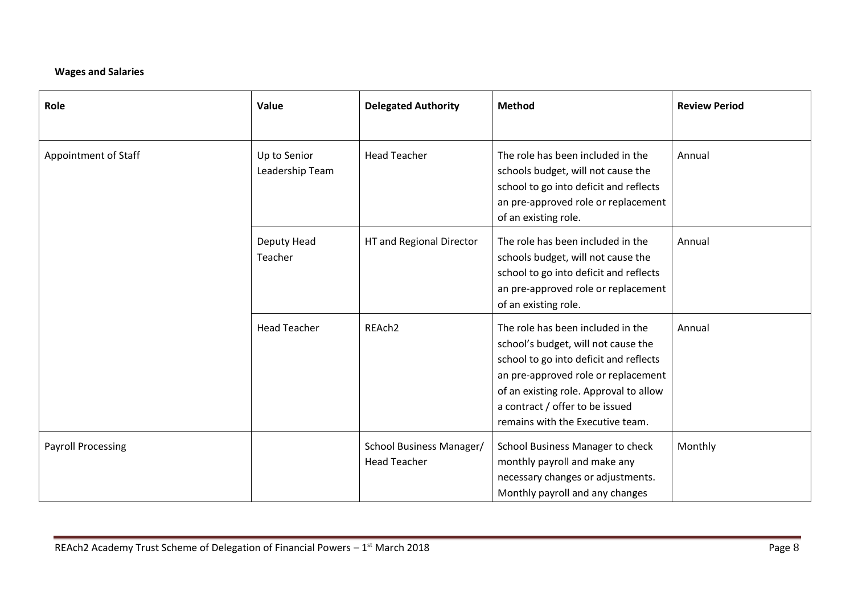### **Wages and Salaries**

| Role                      | Value                           | <b>Delegated Authority</b>                      | <b>Method</b>                                                                                                                                                                                                                                                              | <b>Review Period</b> |
|---------------------------|---------------------------------|-------------------------------------------------|----------------------------------------------------------------------------------------------------------------------------------------------------------------------------------------------------------------------------------------------------------------------------|----------------------|
| Appointment of Staff      | Up to Senior<br>Leadership Team | <b>Head Teacher</b>                             | The role has been included in the<br>schools budget, will not cause the<br>school to go into deficit and reflects<br>an pre-approved role or replacement<br>of an existing role.                                                                                           | Annual               |
|                           | Deputy Head<br>Teacher          | HT and Regional Director                        | The role has been included in the<br>schools budget, will not cause the<br>school to go into deficit and reflects<br>an pre-approved role or replacement<br>of an existing role.                                                                                           | Annual               |
|                           | <b>Head Teacher</b>             | REAch <sub>2</sub>                              | The role has been included in the<br>school's budget, will not cause the<br>school to go into deficit and reflects<br>an pre-approved role or replacement<br>of an existing role. Approval to allow<br>a contract / offer to be issued<br>remains with the Executive team. | Annual               |
| <b>Payroll Processing</b> |                                 | School Business Manager/<br><b>Head Teacher</b> | School Business Manager to check<br>monthly payroll and make any<br>necessary changes or adjustments.<br>Monthly payroll and any changes                                                                                                                                   | Monthly              |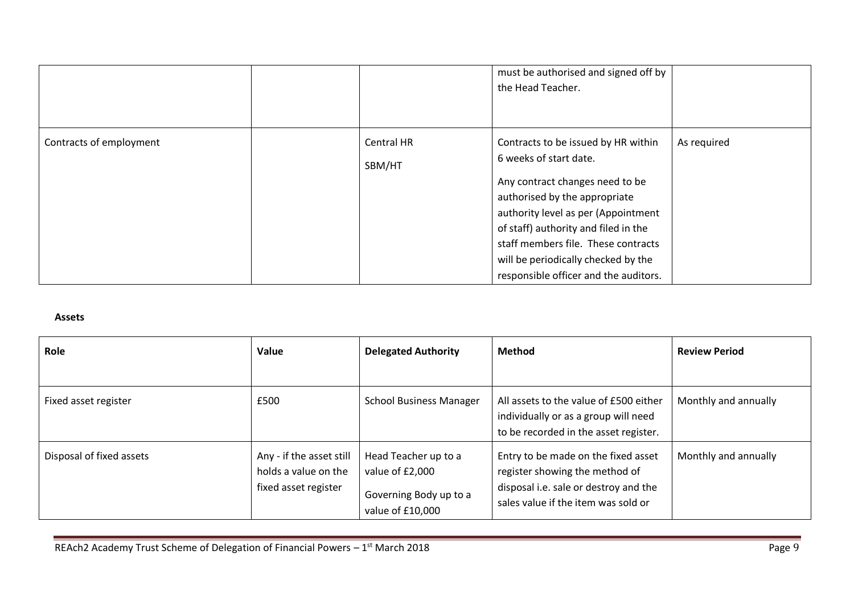|                         |                      | must be authorised and signed off by<br>the Head Teacher.                                                                                                                                                                                                                                                                               |             |
|-------------------------|----------------------|-----------------------------------------------------------------------------------------------------------------------------------------------------------------------------------------------------------------------------------------------------------------------------------------------------------------------------------------|-------------|
| Contracts of employment | Central HR<br>SBM/HT | Contracts to be issued by HR within<br>6 weeks of start date.<br>Any contract changes need to be<br>authorised by the appropriate<br>authority level as per (Appointment<br>of staff) authority and filed in the<br>staff members file. These contracts<br>will be periodically checked by the<br>responsible officer and the auditors. | As required |

#### **Assets**

| Role                     | Value                                                                    | <b>Delegated Authority</b>                                                            | <b>Method</b>                                                                                                                                         | <b>Review Period</b> |
|--------------------------|--------------------------------------------------------------------------|---------------------------------------------------------------------------------------|-------------------------------------------------------------------------------------------------------------------------------------------------------|----------------------|
|                          |                                                                          |                                                                                       |                                                                                                                                                       |                      |
| Fixed asset register     | £500                                                                     | <b>School Business Manager</b>                                                        | All assets to the value of £500 either<br>individually or as a group will need<br>to be recorded in the asset register.                               | Monthly and annually |
| Disposal of fixed assets | Any - if the asset still<br>holds a value on the<br>fixed asset register | Head Teacher up to a<br>value of £2,000<br>Governing Body up to a<br>value of £10,000 | Entry to be made on the fixed asset<br>register showing the method of<br>disposal i.e. sale or destroy and the<br>sales value if the item was sold or | Monthly and annually |